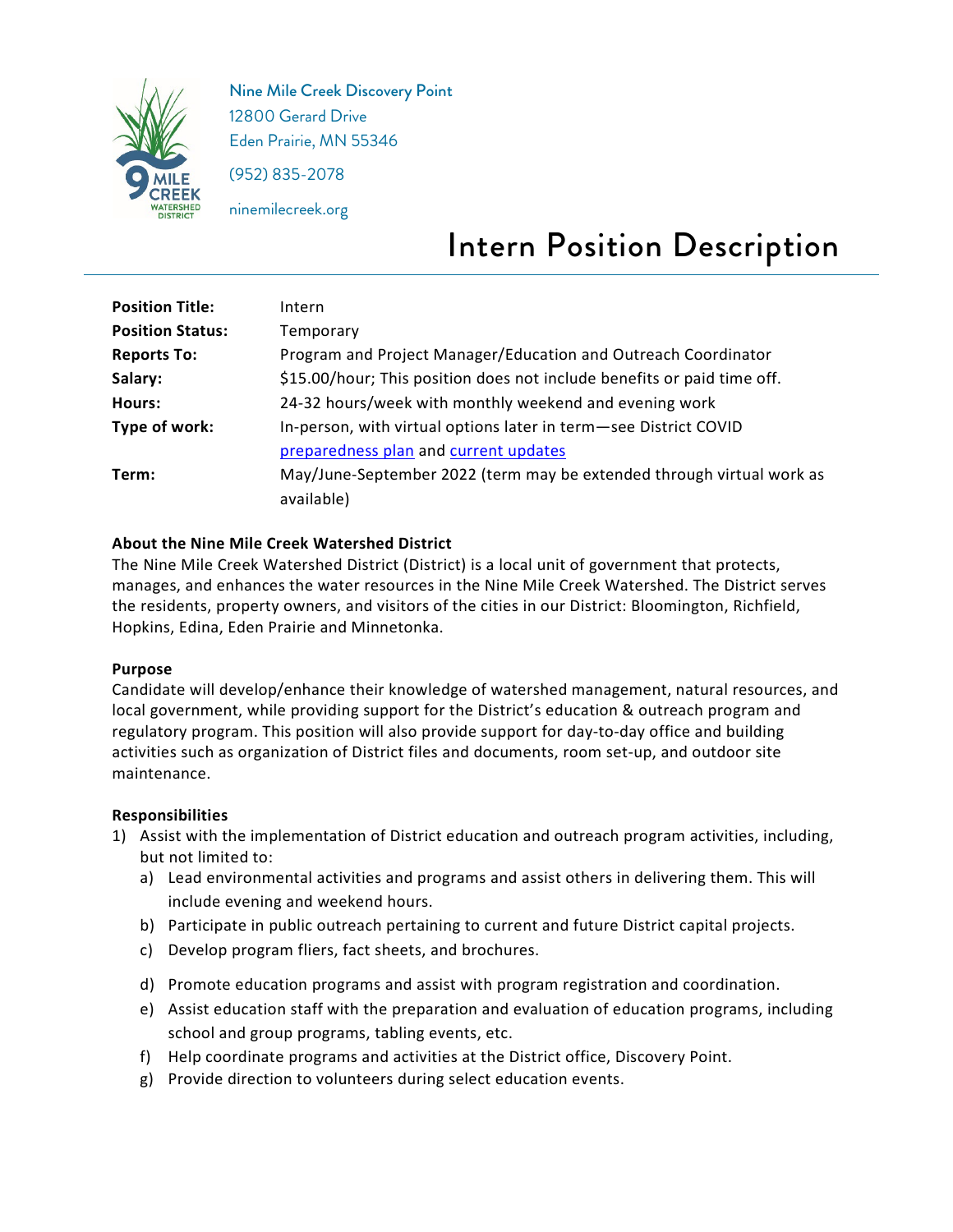

Nine Mile Creek Discovery Point 12800 Gerard Drive Eden Prairie, MN 55346

(952) 835-2078

ninemilecreek.org

# Intern Position Description

| <b>Position Title:</b>  | Intern                                                                  |
|-------------------------|-------------------------------------------------------------------------|
| <b>Position Status:</b> | Temporary                                                               |
| <b>Reports To:</b>      | Program and Project Manager/Education and Outreach Coordinator          |
| Salary:                 | \$15.00/hour; This position does not include benefits or paid time off. |
| Hours:                  | 24-32 hours/week with monthly weekend and evening work                  |
| Type of work:           | In-person, with virtual options later in term-see District COVID        |
|                         | preparedness plan and current updates                                   |
| Term:                   | May/June-September 2022 (term may be extended through virtual work as   |
|                         | available)                                                              |

## **About the Nine Mile Creek Watershed District**

The Nine Mile Creek Watershed District (District) is a local unit of government that protects, manages, and enhances the water resources in the Nine Mile Creek Watershed. The District serves the residents, property owners, and visitors of the cities in our District: Bloomington, Richfield, Hopkins, Edina, Eden Prairie and Minnetonka.

## **Purpose**

Candidate will develop/enhance their knowledge of watershed management, natural resources, and local government, while providing support for the District's education & outreach program and regulatory program. This position will also provide support for day-to-day office and building activities such as organization of District files and documents, room set-up, and outdoor site maintenance.

## **Responsibilities**

- 1) Assist with the implementation of District education and outreach program activities, including, but not limited to:
	- a) Lead environmental activities and programs and assist others in delivering them. This will include evening and weekend hours.
	- b) Participate in public outreach pertaining to current and future District capital projects.
	- c) Develop program fliers, fact sheets, and brochures.
	- d) Promote education programs and assist with program registration and coordination.
	- e) Assist education staff with the preparation and evaluation of education programs, including school and group programs, tabling events, etc.
	- f) Help coordinate programs and activities at the District office, Discovery Point.
	- g) Provide direction to volunteers during select education events.